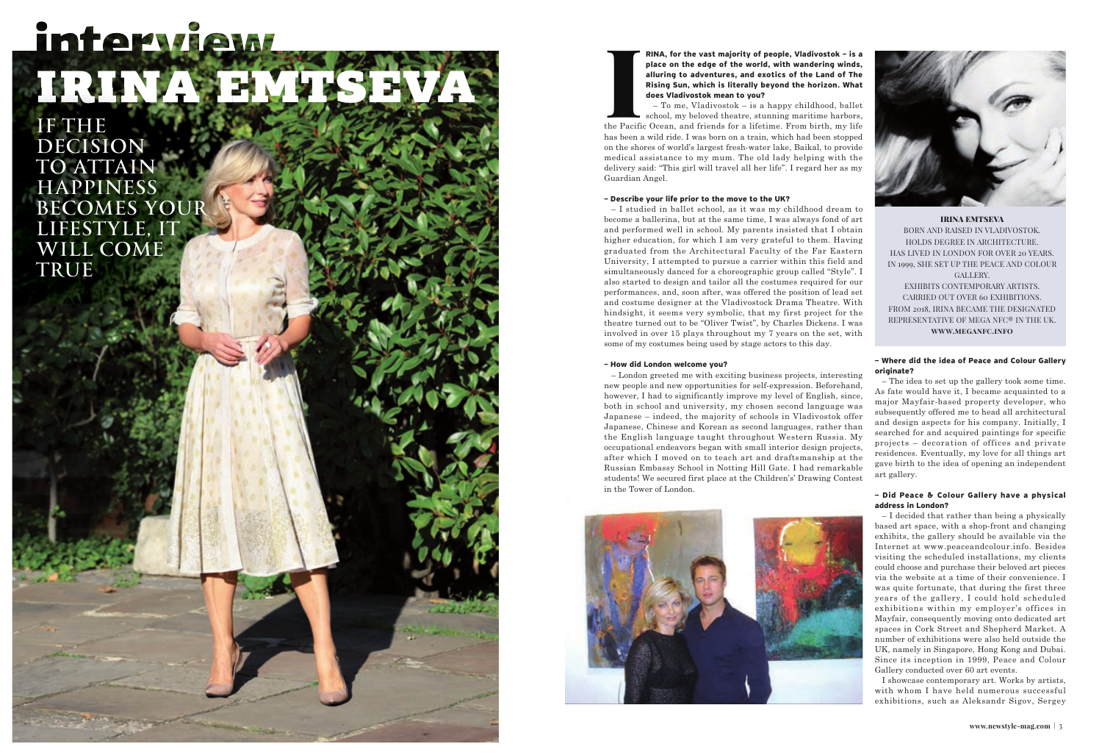

## **RINA, for the vast majority of people, Vladivostok – is a**



**place on the edge of the world, with wandering winds, alluring to adventures, and exotics of the Land of The Rising Sun, which is literally beyond the horizon. What does Vladivostok mean to you?**

– To me, Vladivostok – is a happy childhood, ballet school, my beloved theatre, stunning maritime harbors, the Pacific Ocean, and friends for a lifetime. From birth, my life has been a wild ride. I was born on a train, which had been stopped on the shores of world's largest fresh-water lake, Baikal, to provide medical assistance to my mum. The old lady helping with the delivery said: "This girl will travel all her life". I regard her as my Guardian Angel.

#### **– Describe your life prior to the move to the UK?**

– I studied in ballet school, as it was my childhood dream to become a ballerina, but at the same time, I was always fond of art and performed well in school. My parents insisted that I obtain higher education, for which I am very grateful to them. Having graduated from the Architectural Faculty of the Far Eastern University, I attempted to pursue a carrier within this field and simultaneously danced for a choreographic group called "Style". I also started to design and tailor all the costumes required for our performances, and, soon after, was offered the position of lead set and costume designer at the Vladivostock Drama Theatre. With hindsight, it seems very symbolic, that my first project for the theatre turned out to be "Oliver Twist", by Charles Dickens. I was involved in over 15 plays throughout my 7 years on the set, with some of my costumes being used by stage actors to this day.

#### **– How did London welcome you?**

– London greeted me with exciting business projects, interesting new people and new opportunities for self-expression. Beforehand, however, I had to significantly improve my level of English, since, both in school and university, my chosen second language was Japanese – indeed, the majority of schools in Vladivostok offer Japanese, Chinese and Korean as second languages, rather than the English language taught throughout Western Russia. My occupational endeavors began with small interior design projects, after which I moved on to teach art and draftsmanship at the Russian Embassy School in Notting Hill Gate. I had remarkable students! We secured first place at the Children's' Drawing Contest in the Tower of London.



#### **– Where did the idea of Peace and Colour Gallery originate?**

– The idea to set up the gallery took some time. As fate would have it, I became acquainted to a major Mayfair-based property developer, who subsequently offered me to head all architectural and design aspects for his company. Initially, I searched for and acquired paintings for specific projects – decoration of offices and private residences. Eventually, my love for all things art gave birth to the idea of opening an independent art gallery.

#### **– Did Peace & Colour Gallery have a physical address in London?**

– I decided that rather than being a physically based art space, with a shop-front and changing exhibits, the gallery should be available via the Internet at www.peaceandcolour.info. Besides visiting the scheduled installations, my clients could choose and purchase their beloved art pieces via the website at a time of their convenience. I was quite fortunate, that during the first three years of the gallery, I could hold scheduled exhibitions within my employer's offices in Mayfair, consequently moving onto dedicated art spaces in Cork Street and Shepherd Market. A number of exhibitions were also held outside the UK, namely in Singapore, Hong Kong and Dubai. Since its inception in 1999, Peace and Colour Gallery conducted over 60 art events.

I showcase contemporary art. Works by artists, with whom I have held numerous successful exhibitions, such as Aleksandr Sigov, Sergey

IRINA EMTSEVA BORN AND RAISED IN VLADIVOSTOK. HOLDS DEGREE IN ARCHITECTURE. HAS LIVED IN LONDON FOR OVER 20 YEARS. IN 1999, SHE SET UP THE PEACE AND COLOUR GALLERY.

EXHIBITS CONTEMPORARY ARTISTS. CARRIED OUT OVER 60 EXHIBITIONS. FROM 2018, IRINA BECAME THE DESIGNATED REPRESENTATIVE OF MEGA NFC® IN THE UK. **www.meganfc.info**

# interview IRINA EMTSE

IF THE DECISION TO ATTAIN **HAPPINESS** BECOMES YOUR LIFESTYLE, IT WILL COME TRUE